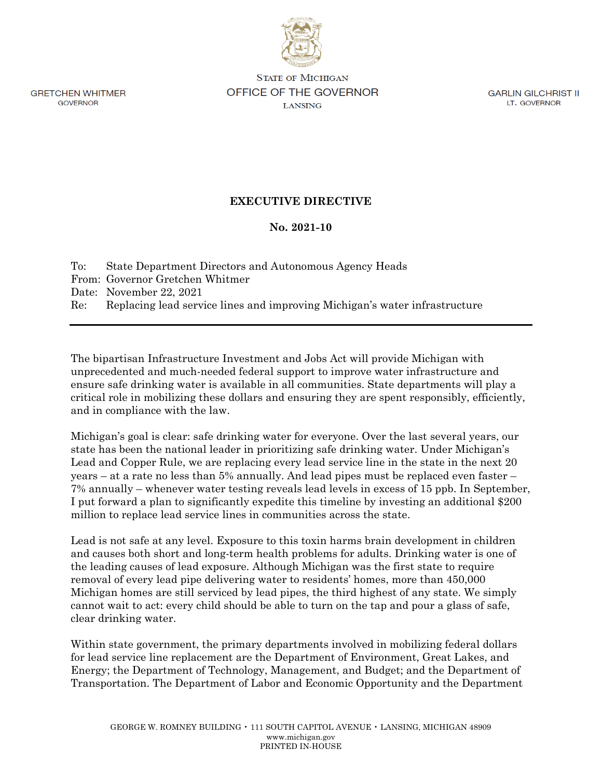**GRETCHEN WHITMER GOVERNOR** 

**STATE OF MICHIGAN** OFFICE OF THE GOVERNOR **LANSING** 

**GARLIN GILCHRIST II** LT. GOVERNOR

## **EXECUTIVE DIRECTIVE**

## **No. 2021-10**

| To: | State Department Directors and Autonomous Agency Heads                     |
|-----|----------------------------------------------------------------------------|
|     | From: Governor Gretchen Whitmer                                            |
|     | Date: November 22, 2021                                                    |
| Re: | Replacing lead service lines and improving Michigan's water infrastructure |

The bipartisan Infrastructure Investment and Jobs Act will provide Michigan with unprecedented and much-needed federal support to improve water infrastructure and ensure safe drinking water is available in all communities. State departments will play a critical role in mobilizing these dollars and ensuring they are spent responsibly, efficiently, and in compliance with the law.

Michigan's goal is clear: safe drinking water for everyone. Over the last several years, our state has been the national leader in prioritizing safe drinking water. Under Michigan's Lead and Copper Rule, we are replacing every lead service line in the state in the next 20 years – at a rate no less than 5% annually. And lead pipes must be replaced even faster – 7% annually – whenever water testing reveals lead levels in excess of 15 ppb. In September, I put forward a plan to significantly expedite this timeline by investing an additional \$200 million to replace lead service lines in communities across the state.

Lead is not safe at any level. Exposure to this toxin harms brain development in children and causes both short and long-term health problems for adults. Drinking water is one of the leading causes of lead exposure. Although Michigan was the first state to require removal of every lead pipe delivering water to residents' homes, more than 450,000 Michigan homes are still serviced by lead pipes, the third highest of any state. We simply cannot wait to act: every child should be able to turn on the tap and pour a glass of safe, clear drinking water.

Within state government, the primary departments involved in mobilizing federal dollars for lead service line replacement are the Department of Environment, Great Lakes, and Energy; the Department of Technology, Management, and Budget; and the Department of Transportation. The Department of Labor and Economic Opportunity and the Department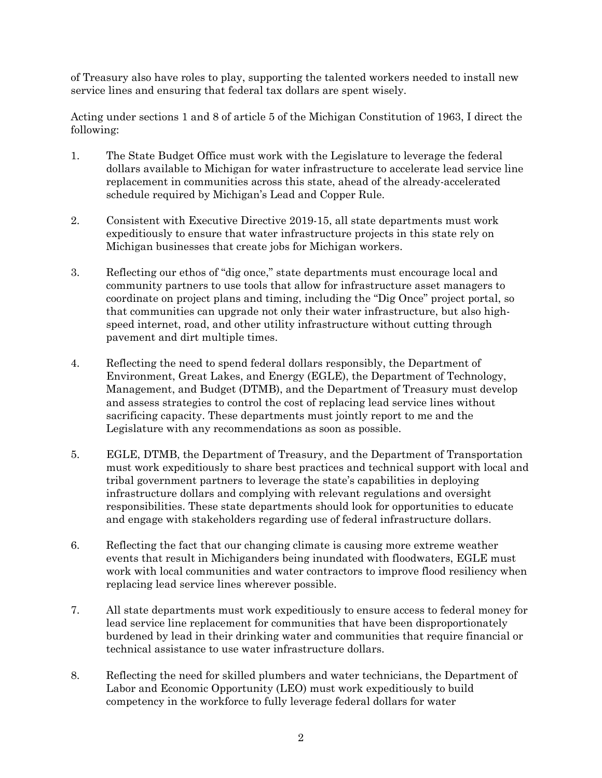of Treasury also have roles to play, supporting the talented workers needed to install new service lines and ensuring that federal tax dollars are spent wisely.

Acting under sections 1 and 8 of article 5 of the Michigan Constitution of 1963, I direct the following:

- 1. The State Budget Office must work with the Legislature to leverage the federal dollars available to Michigan for water infrastructure to accelerate lead service line replacement in communities across this state, ahead of the already-accelerated schedule required by Michigan's Lead and Copper Rule.
- 2. Consistent with Executive Directive 2019-15, all state departments must work expeditiously to ensure that water infrastructure projects in this state rely on Michigan businesses that create jobs for Michigan workers.
- 3. Reflecting our ethos of "dig once," state departments must encourage local and community partners to use tools that allow for infrastructure asset managers to coordinate on project plans and timing, including the "Dig Once" project portal, so that communities can upgrade not only their water infrastructure, but also highspeed internet, road, and other utility infrastructure without cutting through pavement and dirt multiple times.
- 4. Reflecting the need to spend federal dollars responsibly, the Department of Environment, Great Lakes, and Energy (EGLE), the Department of Technology, Management, and Budget (DTMB), and the Department of Treasury must develop and assess strategies to control the cost of replacing lead service lines without sacrificing capacity. These departments must jointly report to me and the Legislature with any recommendations as soon as possible.
- 5. EGLE, DTMB, the Department of Treasury, and the Department of Transportation must work expeditiously to share best practices and technical support with local and tribal government partners to leverage the state's capabilities in deploying infrastructure dollars and complying with relevant regulations and oversight responsibilities. These state departments should look for opportunities to educate and engage with stakeholders regarding use of federal infrastructure dollars.
- 6. Reflecting the fact that our changing climate is causing more extreme weather events that result in Michiganders being inundated with floodwaters, EGLE must work with local communities and water contractors to improve flood resiliency when replacing lead service lines wherever possible.
- 7. All state departments must work expeditiously to ensure access to federal money for lead service line replacement for communities that have been disproportionately burdened by lead in their drinking water and communities that require financial or technical assistance to use water infrastructure dollars.
- 8. Reflecting the need for skilled plumbers and water technicians, the Department of Labor and Economic Opportunity (LEO) must work expeditiously to build competency in the workforce to fully leverage federal dollars for water